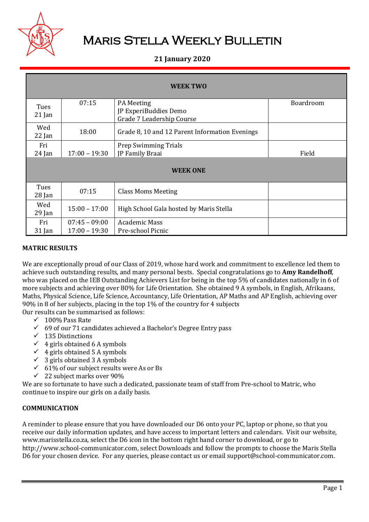

# Maris Stella Weekly Bulletin

# **21 January 2020**

| <b>WEEK TWO</b>  |                                    |                                                                         |           |  |  |
|------------------|------------------------------------|-------------------------------------------------------------------------|-----------|--|--|
| Tues<br>$21$ Jan | 07:15                              | <b>PA</b> Meeting<br>JP ExperiBuddies Demo<br>Grade 7 Leadership Course | Boardroom |  |  |
| Wed<br>$22$ Jan  | 18:00                              | Grade 8, 10 and 12 Parent Information Evenings                          |           |  |  |
| Fri<br>$24$ Jan  | $17:00 - 19:30$                    | <b>Prep Swimming Trials</b><br>JP Family Braai                          | Field     |  |  |
| <b>WEEK ONE</b>  |                                    |                                                                         |           |  |  |
| Tues<br>$28$ Jan | 07:15                              | <b>Class Moms Meeting</b>                                               |           |  |  |
| Wed<br>$29$ Jan  | $15:00 - 17:00$                    | High School Gala hosted by Maris Stella                                 |           |  |  |
| Fri<br>31 Jan    | $07:45 - 09:00$<br>$17:00 - 19:30$ | <b>Academic Mass</b><br>Pre-school Picnic                               |           |  |  |

## **MATRIC RESULTS**

We are exceptionally proud of our Class of 2019, whose hard work and commitment to excellence led them to achieve such outstanding results, and many personal bests. Special congratulations go to **Amy Randelhoff**, who was placed on the IEB Outstanding Achievers List for being in the top 5% of candidates nationally in 6 of more subjects and achieving over 80% for Life Orientation. She obtained 9 A symbols, in English, Afrikaans, Maths, Physical Science, Life Science, Accountancy, Life Orientation, AP Maths and AP English, achieving over 90% in 8 of her subjects, placing in the top 1% of the country for 4 subjects Our results can be summarised as follows:

 $\checkmark$  100% Pass Rate

- $69$  of our 71 candidates achieved a Bachelor's Degree Entry pass
- $\checkmark$  135 Distinctions
- $\checkmark$  4 girls obtained 6 A symbols
- $\checkmark$  4 girls obtained 5 A symbols
- $\checkmark$  3 girls obtained 3 A symbols
- $61\%$  of our subject results were As or Bs
- $\checkmark$  22 subject marks over 90%

We are so fortunate to have such a dedicated, passionate team of staff from Pre-school to Matric, who continue to inspire our girls on a daily basis.

# **COMMUNICATION**

A reminder to please ensure that you have downloaded our D6 onto your PC, laptop or phone, so that you receive our daily information updates, and have access to important letters and calendars. Visit our website, www.marisstella.co.za, select the D6 icon in the bottom right hand corner to download, or go to http://www.school-communicator.com, select Downloads and follow the prompts to choose the Maris Stella D6 for your chosen device. For any queries, please contact us or email support@school-communicator.com.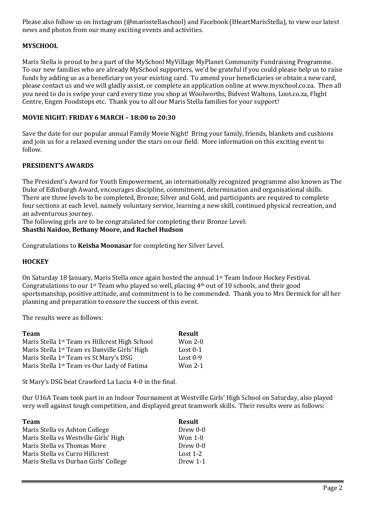Please also follow us on Instagram (@marisstellaschool) and Facebook (IHeartMarisStella), to view our latest news and photos from our many exciting events and activities.

# **MYSCHOOL**

Maris Stella is proud to be a part of the MySchool MyVillage MyPlanet Community Fundraising Programme. To our new families who are already MySchool supporters, we'd be grateful if you could please help us to raise funds by adding us as a beneficiary on your existing card. To amend your beneficiaries or obtain a new card, please contact us and we will gladly assist, or complete an application online at www.myschool.co.za. Then all you need to do is swipe your card every time you shop at Woolworths, Bidvest Waltons, Loot.co.za, Flight Centre, Engen Foodstops etc. Thank you to all our Maris Stella families for your support!

### **MOVIE NIGHT: FRIDAY 6 MARCH – 18:00 to 20:30**

Save the date for our popular annual Family Movie Night! Bring your family, friends, blankets and cushions and join us for a relaxed evening under the stars on our field. More information on this exciting event to follow.

### **PRESIDENT'S AWARDS**

The President's Award for Youth Empowerment, an internationally recognized programme also known as The Duke of Edinburgh Award, encourages discipline, commitment, determination and organisational skills. There are three levels to be completed, Bronze, Silver and Gold, and participants are required to complete four sections at each level, namely voluntary service, learning a new skill, continued physical recreation, and an adventurous journey.

The following girls are to be congratulated for completing their Bronze Level: **Shasthi Naidoo, Bethany Moore, and Rachel Hudson**

Congratulations to **Keisha Moonasar** for completing her Silver Level.

#### **HOCKEY**

On Saturday 18 January, Maris Stella once again hosted the annual 1st Team Indoor Hockey Festival. Congratulations to our 1st Team who played so well, placing 4th out of 10 schools, and their good sportsmanship, positive attitude, and commitment is to be commended. Thank you to Mrs Dermick for all her planning and preparation to ensure the success of this event.

The results were as follows:

| <b>Team</b>                                                | <b>Result</b> |
|------------------------------------------------------------|---------------|
| Maris Stella 1 <sup>st</sup> Team vs Hillcrest High School | Won $2-0$     |
| Maris Stella 1 <sup>st</sup> Team vs Danville Girls' High  | Lost $0-1$    |
| Maris Stella 1 <sup>st</sup> Team vs St Mary's DSG         | Lost $0-9$    |
| Maris Stella 1 <sup>st</sup> Team vs Our Lady of Fatima    | Won 2-1       |

St Mary's DSG beat Crawford La Lucia 4-0 in the final.

Our U16A Team took part in an Indoor Tournament at Westville Girls' High School on Saturday, also played very well against tough competition, and displayed great teamwork skills. Their results were as follows:

| <b>Team</b>                           | <b>Result</b> |
|---------------------------------------|---------------|
| Maris Stella vs Ashton College        | Drew 0-0      |
| Maris Stella vs Westville Girls' High | Won $1-0$     |
| Maris Stella vs Thomas More           | Drew 0-0      |
| Maris Stella vs Curro Hillcrest       | Lost $1-2$    |
| Maris Stella vs Durban Girls' College | Drew 1-1      |